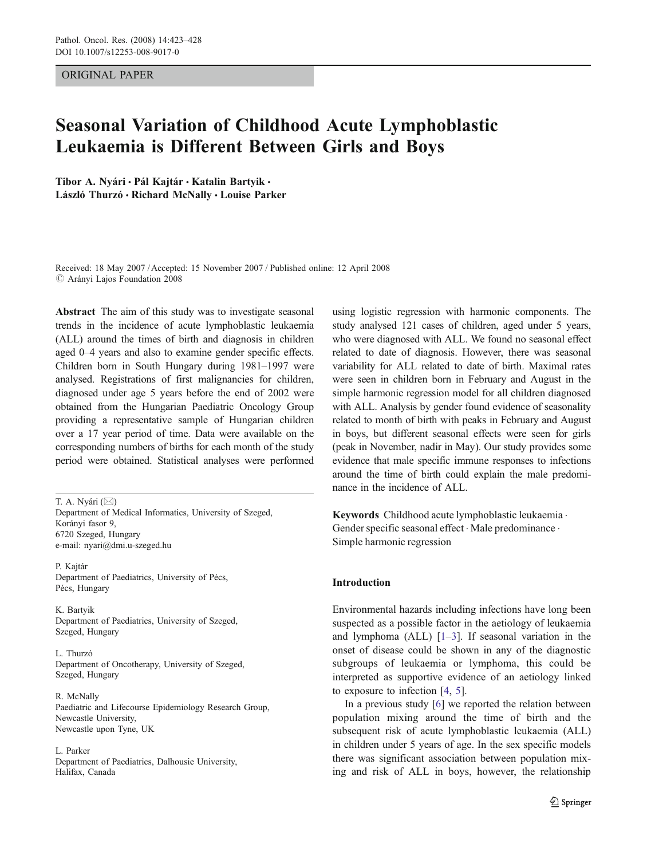## ORIGINAL PAPER

# Seasonal Variation of Childhood Acute Lymphoblastic Leukaemia is Different Between Girls and Boys

Tibor A. Nyári · Pál Kajtár · Katalin Bartyik · László Thurzó · Richard McNally · Louise Parker

Received: 18 May 2007 /Accepted: 15 November 2007 / Published online: 12 April 2008  $\oslash$  Arányi Lajos Foundation 2008

Abstract The aim of this study was to investigate seasonal trends in the incidence of acute lymphoblastic leukaemia (ALL) around the times of birth and diagnosis in children aged 0–4 years and also to examine gender specific effects. Children born in South Hungary during 1981–1997 were analysed. Registrations of first malignancies for children, diagnosed under age 5 years before the end of 2002 were obtained from the Hungarian Paediatric Oncology Group providing a representative sample of Hungarian children over a 17 year period of time. Data were available on the corresponding numbers of births for each month of the study period were obtained. Statistical analyses were performed

T. A. Nyári (*\**) Department of Medical Informatics, University of Szeged, Korányi fasor 9, 6720 Szeged, Hungary e-mail: nyari@dmi.u-szeged.hu

P. Kajtár Department of Paediatrics, University of Pécs, Pécs, Hungary

K. Bartyik Department of Paediatrics, University of Szeged, Szeged, Hungary

L. Thurzó Department of Oncotherapy, University of Szeged, Szeged, Hungary

R. McNally Paediatric and Lifecourse Epidemiology Research Group, Newcastle University, Newcastle upon Tyne, UK

L. Parker Department of Paediatrics, Dalhousie University, Halifax, Canada

using logistic regression with harmonic components. The study analysed 121 cases of children, aged under 5 years, who were diagnosed with ALL. We found no seasonal effect related to date of diagnosis. However, there was seasonal variability for ALL related to date of birth. Maximal rates were seen in children born in February and August in the simple harmonic regression model for all children diagnosed with ALL. Analysis by gender found evidence of seasonality related to month of birth with peaks in February and August in boys, but different seasonal effects were seen for girls (peak in November, nadir in May). Our study provides some evidence that male specific immune responses to infections around the time of birth could explain the male predominance in the incidence of ALL.

Keywords Childhood acute lymphoblastic leukaemia . Gender specific seasonal effect . Male predominance . Simple harmonic regression

#### Introduction

Environmental hazards including infections have long been suspected as a possible factor in the aetiology of leukaemia and lymphoma (ALL)  $[1-3]$  $[1-3]$  $[1-3]$  $[1-3]$ . If seasonal variation in the onset of disease could be shown in any of the diagnostic subgroups of leukaemia or lymphoma, this could be interpreted as supportive evidence of an aetiology linked to exposure to infection [[4,](#page-4-0) [5](#page-4-0)].

In a previous study [\[6](#page-4-0)] we reported the relation between population mixing around the time of birth and the subsequent risk of acute lymphoblastic leukaemia (ALL) in children under 5 years of age. In the sex specific models there was significant association between population mixing and risk of ALL in boys, however, the relationship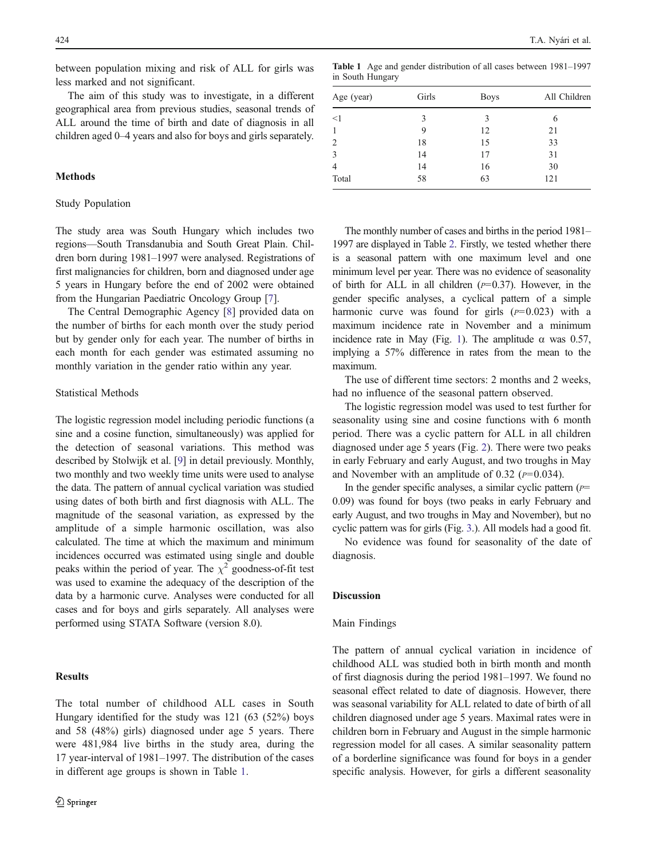between population mixing and risk of ALL for girls was less marked and not significant.

The aim of this study was to investigate, in a different geographical area from previous studies, seasonal trends of ALL around the time of birth and date of diagnosis in all children aged 0–4 years and also for boys and girls separately.

# Methods

# Study Population

The study area was South Hungary which includes two regions—South Transdanubia and South Great Plain. Children born during 1981–1997 were analysed. Registrations of first malignancies for children, born and diagnosed under age 5 years in Hungary before the end of 2002 were obtained from the Hungarian Paediatric Oncology Group [[7\]](#page-4-0).

The Central Demographic Agency [[8\]](#page-4-0) provided data on the number of births for each month over the study period but by gender only for each year. The number of births in each month for each gender was estimated assuming no monthly variation in the gender ratio within any year.

#### Statistical Methods

The logistic regression model including periodic functions (a sine and a cosine function, simultaneously) was applied for the detection of seasonal variations. This method was described by Stolwijk et al. [\[9](#page-4-0)] in detail previously. Monthly, two monthly and two weekly time units were used to analyse the data. The pattern of annual cyclical variation was studied using dates of both birth and first diagnosis with ALL. The magnitude of the seasonal variation, as expressed by the amplitude of a simple harmonic oscillation, was also calculated. The time at which the maximum and minimum incidences occurred was estimated using single and double peaks within the period of year. The  $\chi^2$  goodness-of-fit test was used to examine the adequacy of the description of the data by a harmonic curve. Analyses were conducted for all cases and for boys and girls separately. All analyses were performed using STATA Software (version 8.0).

## **Results**

The total number of childhood ALL cases in South Hungary identified for the study was 121 (63 (52%) boys and 58 (48%) girls) diagnosed under age 5 years. There were 481,984 live births in the study area, during the 17 year-interval of 1981–1997. The distribution of the cases in different age groups is shown in Table 1.

Table 1 Age and gender distribution of all cases between 1981–1997 in South Hungary

| Age (year)     | Girls | <b>Boys</b> | All Children |  |
|----------------|-------|-------------|--------------|--|
| <1             | 3     | 3           | 6            |  |
|                | 9     | 12          | 21           |  |
| 2              | 18    | 15          | 33           |  |
| 3              | 14    | 17          | 31           |  |
| $\overline{4}$ | 14    | 16          | 30           |  |
| Total          | 58    | 63          | 121          |  |

The monthly number of cases and births in the period 1981– 1997 are displayed in Table [2](#page-2-0). Firstly, we tested whether there is a seasonal pattern with one maximum level and one minimum level per year. There was no evidence of seasonality of birth for ALL in all children  $(p=0.37)$ . However, in the gender specific analyses, a cyclical pattern of a simple harmonic curve was found for girls  $(p=0.023)$  with a maximum incidence rate in November and a minimum incidence rate in May (Fig. [1](#page-2-0)). The amplitude  $\alpha$  was 0.57, implying a 57% difference in rates from the mean to the maximum.

The use of different time sectors: 2 months and 2 weeks, had no influence of the seasonal pattern observed.

The logistic regression model was used to test further for seasonality using sine and cosine functions with 6 month period. There was a cyclic pattern for ALL in all children diagnosed under age 5 years (Fig. [2](#page-3-0)). There were two peaks in early February and early August, and two troughs in May and November with an amplitude of 0.32 ( $p=0.034$ ).

In the gender specific analyses, a similar cyclic pattern  $(P=$ 0.09) was found for boys (two peaks in early February and early August, and two troughs in May and November), but no cyclic pattern was for girls (Fig. [3](#page-3-0).). All models had a good fit.

No evidence was found for seasonality of the date of diagnosis.

#### Discussion

#### Main Findings

The pattern of annual cyclical variation in incidence of childhood ALL was studied both in birth month and month of first diagnosis during the period 1981–1997. We found no seasonal effect related to date of diagnosis. However, there was seasonal variability for ALL related to date of birth of all children diagnosed under age 5 years. Maximal rates were in children born in February and August in the simple harmonic regression model for all cases. A similar seasonality pattern of a borderline significance was found for boys in a gender specific analysis. However, for girls a different seasonality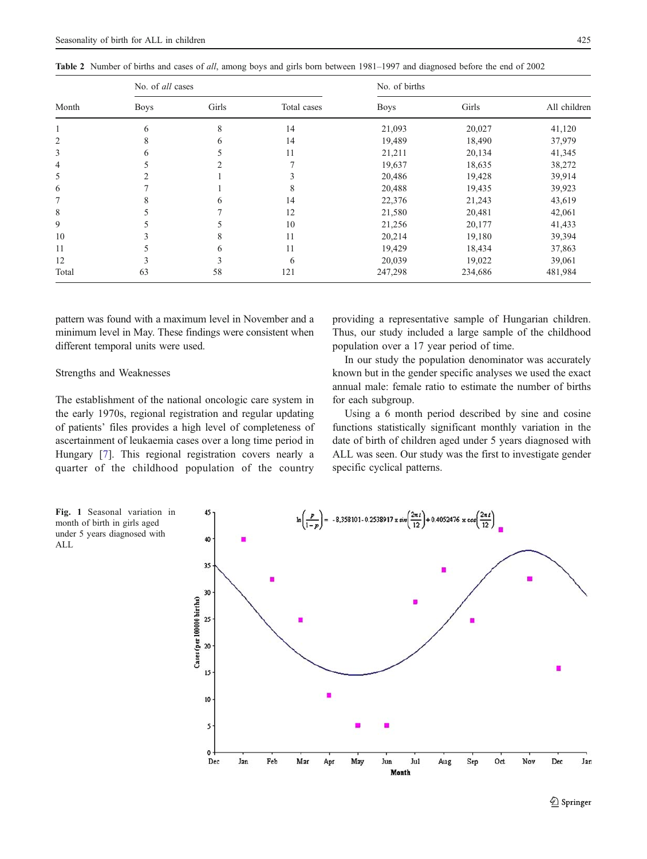<span id="page-2-0"></span>

|  |  |  |  | Table 2 Number of births and cases of all, among boys and girls born between 1981–1997 and diagnosed before the end of 2002 |
|--|--|--|--|-----------------------------------------------------------------------------------------------------------------------------|
|--|--|--|--|-----------------------------------------------------------------------------------------------------------------------------|

| Month | No. of all cases |       |             | No. of births |         |              |
|-------|------------------|-------|-------------|---------------|---------|--------------|
|       | <b>Boys</b>      | Girls | Total cases | <b>Boys</b>   | Girls   | All children |
|       | 6                | 8     | 14          | 21,093        | 20,027  | 41,120       |
| 2     | 8                | 6     | 14          | 19,489        | 18,490  | 37,979       |
| 3     | 6                |       | 11          | 21,211        | 20,134  | 41,345       |
| 4     |                  |       |             | 19,637        | 18,635  | 38,272       |
| 5     | $\mathcal{L}$    |       | 3           | 20,486        | 19,428  | 39,914       |
| 6     |                  |       | 8           | 20,488        | 19,435  | 39,923       |
| 7     | 8                | 6     | 14          | 22,376        | 21,243  | 43,619       |
| 8     |                  |       | 12          | 21,580        | 20,481  | 42,061       |
| 9     |                  |       | 10          | 21,256        | 20,177  | 41,433       |
| 10    |                  | 8     | 11          | 20,214        | 19,180  | 39,394       |
| 11    |                  | 6     | 11          | 19,429        | 18,434  | 37,863       |
| 12    | 3                |       | 6           | 20,039        | 19,022  | 39,061       |
| Total | 63               | 58    | 121         | 247,298       | 234,686 | 481,984      |

pattern was found with a maximum level in November and a minimum level in May. These findings were consistent when different temporal units were used.

## Strengths and Weaknesses

The establishment of the national oncologic care system in the early 1970s, regional registration and regular updating of patients' files provides a high level of completeness of ascertainment of leukaemia cases over a long time period in Hungary [[7\]](#page-4-0). This regional registration covers nearly a quarter of the childhood population of the country providing a representative sample of Hungarian children. Thus, our study included a large sample of the childhood population over a 17 year period of time.

In our study the population denominator was accurately known but in the gender specific analyses we used the exact annual male: female ratio to estimate the number of births for each subgroup.

Using a 6 month period described by sine and cosine functions statistically significant monthly variation in the date of birth of children aged under 5 years diagnosed with ALL was seen. Our study was the first to investigate gender specific cyclical patterns.

Fig. 1 Seasonal variation in month of birth in girls aged under 5 years diagnosed with ALL

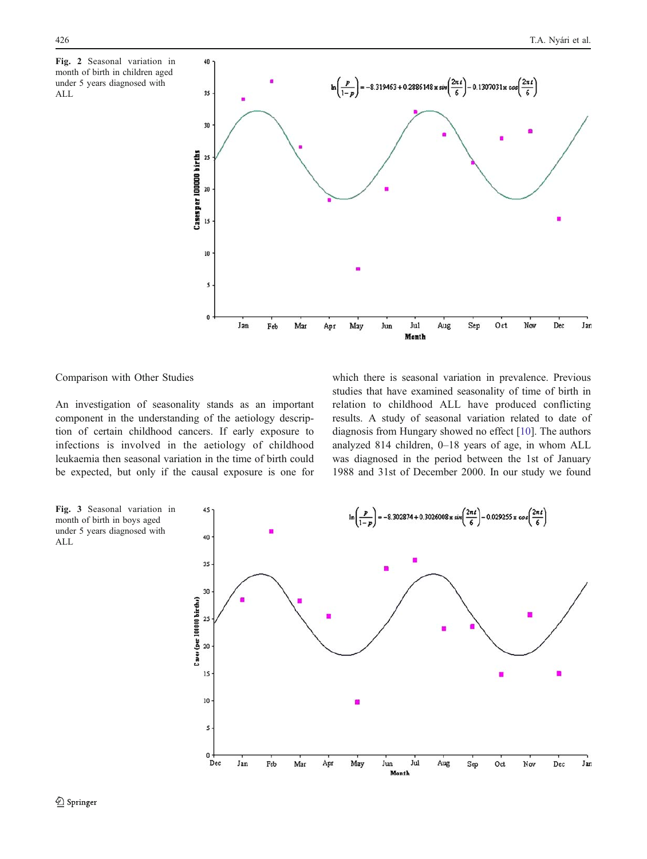<span id="page-3-0"></span>



# Comparison with Other Studies

An investigation of seasonality stands as an important component in the understanding of the aetiology description of certain childhood cancers. If early exposure to infections is involved in the aetiology of childhood leukaemia then seasonal variation in the time of birth could be expected, but only if the causal exposure is one for which there is seasonal variation in prevalence. Previous studies that have examined seasonality of time of birth in relation to childhood ALL have produced conflicting results. A study of seasonal variation related to date of diagnosis from Hungary showed no effect [[10\]](#page-4-0). The authors analyzed 814 children, 0–18 years of age, in whom ALL was diagnosed in the period between the 1st of January 1988 and 31st of December 2000. In our study we found

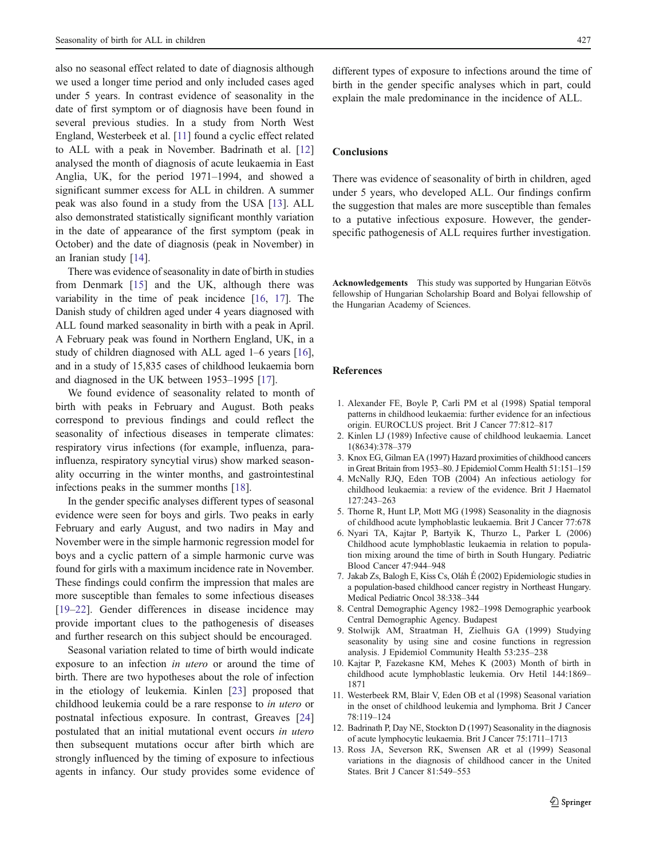<span id="page-4-0"></span>also no seasonal effect related to date of diagnosis although we used a longer time period and only included cases aged under 5 years. In contrast evidence of seasonality in the date of first symptom or of diagnosis have been found in several previous studies. In a study from North West England, Westerbeek et al. [11] found a cyclic effect related to ALL with a peak in November. Badrinath et al. [12] analysed the month of diagnosis of acute leukaemia in East Anglia, UK, for the period 1971–1994, and showed a significant summer excess for ALL in children. A summer peak was also found in a study from the USA [13]. ALL also demonstrated statistically significant monthly variation in the date of appearance of the first symptom (peak in October) and the date of diagnosis (peak in November) in an Iranian study [[14\]](#page-5-0).

There was evidence of seasonality in date of birth in studies from Denmark [[15\]](#page-5-0) and the UK, although there was variability in the time of peak incidence [[16](#page-5-0), [17](#page-5-0)]. The Danish study of children aged under 4 years diagnosed with ALL found marked seasonality in birth with a peak in April. A February peak was found in Northern England, UK, in a study of children diagnosed with ALL aged 1–6 years [[16\]](#page-5-0), and in a study of 15,835 cases of childhood leukaemia born and diagnosed in the UK between 1953–1995 [\[17](#page-5-0)].

We found evidence of seasonality related to month of birth with peaks in February and August. Both peaks correspond to previous findings and could reflect the seasonality of infectious diseases in temperate climates: respiratory virus infections (for example, influenza, parainfluenza, respiratory syncytial virus) show marked seasonality occurring in the winter months, and gastrointestinal infections peaks in the summer months [\[18](#page-5-0)].

In the gender specific analyses different types of seasonal evidence were seen for boys and girls. Two peaks in early February and early August, and two nadirs in May and November were in the simple harmonic regression model for boys and a cyclic pattern of a simple harmonic curve was found for girls with a maximum incidence rate in November. These findings could confirm the impression that males are more susceptible than females to some infectious diseases [\[19](#page-5-0)–[22\]](#page-5-0). Gender differences in disease incidence may provide important clues to the pathogenesis of diseases and further research on this subject should be encouraged.

Seasonal variation related to time of birth would indicate exposure to an infection in utero or around the time of birth. There are two hypotheses about the role of infection in the etiology of leukemia. Kinlen [[23\]](#page-5-0) proposed that childhood leukemia could be a rare response to in utero or postnatal infectious exposure. In contrast, Greaves [[24\]](#page-5-0) postulated that an initial mutational event occurs in utero then subsequent mutations occur after birth which are strongly influenced by the timing of exposure to infectious agents in infancy. Our study provides some evidence of different types of exposure to infections around the time of birth in the gender specific analyses which in part, could explain the male predominance in the incidence of ALL.

# Conclusions

There was evidence of seasonality of birth in children, aged under 5 years, who developed ALL. Our findings confirm the suggestion that males are more susceptible than females to a putative infectious exposure. However, the genderspecific pathogenesis of ALL requires further investigation.

Acknowledgements This study was supported by Hungarian Eötvös fellowship of Hungarian Scholarship Board and Bolyai fellowship of the Hungarian Academy of Sciences.

#### References

- 1. Alexander FE, Boyle P, Carli PM et al (1998) Spatial temporal patterns in childhood leukaemia: further evidence for an infectious origin. EUROCLUS project. Brit J Cancer 77:812–817
- 2. Kinlen LJ (1989) Infective cause of childhood leukaemia. Lancet 1(8634):378–379
- 3. Knox EG, Gilman EA (1997) Hazard proximities of childhood cancers in Great Britain from 1953–80. J Epidemiol Comm Health 51:151–159
- 4. McNally RJQ, Eden TOB (2004) An infectious aetiology for childhood leukaemia: a review of the evidence. Brit J Haematol 127:243–263
- 5. Thorne R, Hunt LP, Mott MG (1998) Seasonality in the diagnosis of childhood acute lymphoblastic leukaemia. Brit J Cancer 77:678
- 6. Nyari TA, Kajtar P, Bartyik K, Thurzo L, Parker L (2006) Childhood acute lymphoblastic leukaemia in relation to population mixing around the time of birth in South Hungary. Pediatric Blood Cancer 47:944–948
- 7. Jakab Zs, Balogh E, Kiss Cs, Oláh É (2002) Epidemiologic studies in a population-based childhood cancer registry in Northeast Hungary. Medical Pediatric Oncol 38:338–344
- 8. Central Demographic Agency 1982–1998 Demographic yearbook Central Demographic Agency. Budapest
- 9. Stolwijk AM, Straatman H, Zielhuis GA (1999) Studying seasonality by using sine and cosine functions in regression analysis. J Epidemiol Community Health 53:235–238
- 10. Kajtar P, Fazekasne KM, Mehes K (2003) Month of birth in childhood acute lymphoblastic leukemia. Orv Hetil 144:1869– 1871
- 11. Westerbeek RM, Blair V, Eden OB et al (1998) Seasonal variation in the onset of childhood leukemia and lymphoma. Brit J Cancer 78:119–124
- 12. Badrinath P, Day NE, Stockton D (1997) Seasonality in the diagnosis of acute lymphocytic leukaemia. Brit J Cancer 75:1711–1713
- 13. Ross JA, Severson RK, Swensen AR et al (1999) Seasonal variations in the diagnosis of childhood cancer in the United States. Brit J Cancer 81:549–553